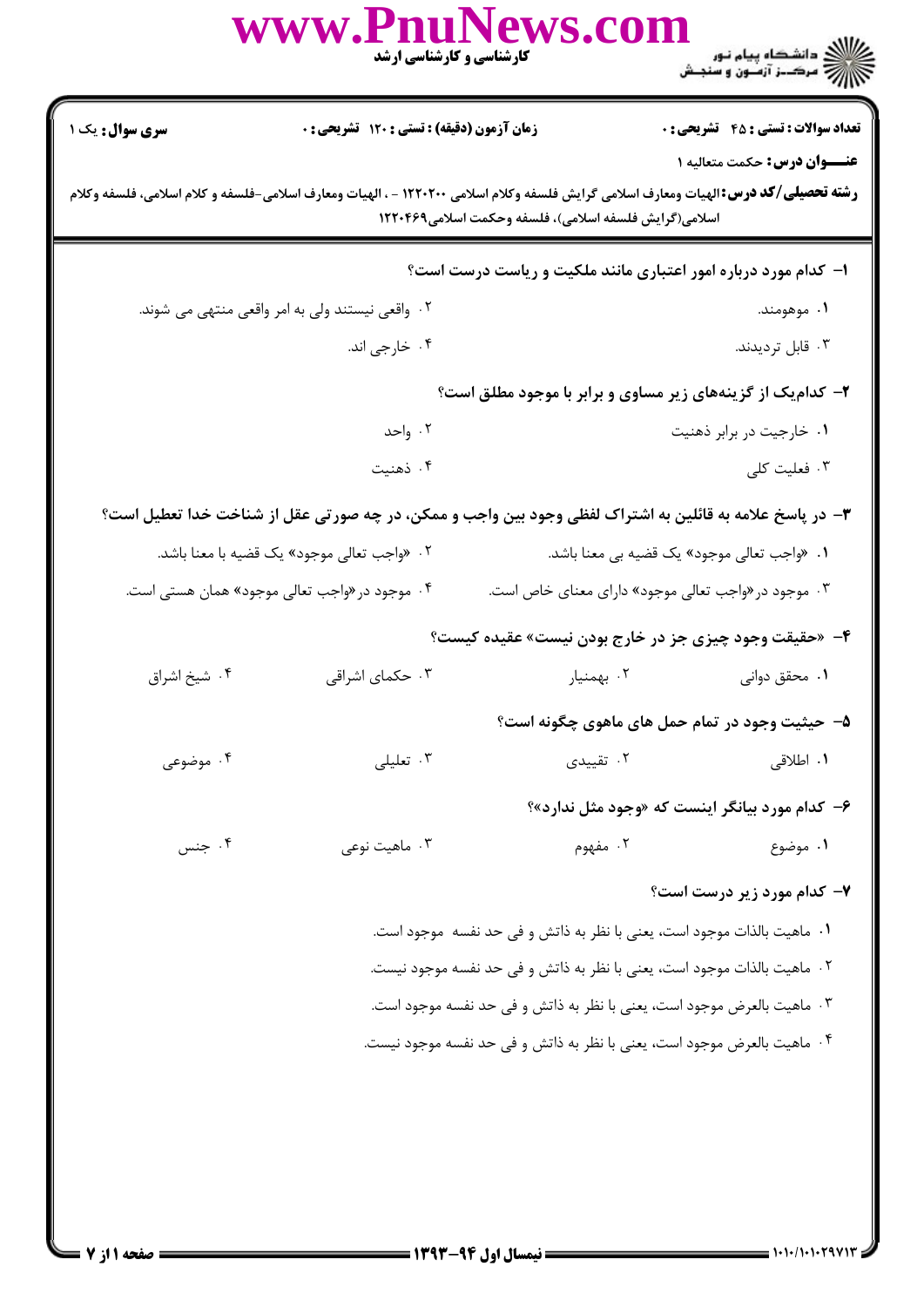|                                                                                                                                                                                                                                     | www.PnuNews.co                                                                                          | کارشناسی و کارشناسی ارشد                                                |                                                                          |  |  |
|-------------------------------------------------------------------------------------------------------------------------------------------------------------------------------------------------------------------------------------|---------------------------------------------------------------------------------------------------------|-------------------------------------------------------------------------|--------------------------------------------------------------------------|--|--|
| <b>سری سوال :</b> یک ۱                                                                                                                                                                                                              | زمان آزمون (دقیقه) : تستی : ۱۲۰ تشریحی : ۰                                                              |                                                                         | <b>تعداد سوالات : تستی : 45 - تشریحی : 0</b>                             |  |  |
| عنـــوان درس: حکمت متعالیه ۱<br><b>رشته تحصیلی/کد درس:</b> الهیات ومعارف اسلامی گرایش فلسفه وکلام اسلامی ۱۲۲۰۲۰۰ - ، الهیات ومعارف اسلامی-فلسفه و کلام اسلامی، فلسفه وکلام<br>اسلامی(گرایش فلسفه اسلامی)، فلسفه وحکمت اسلامی۱۲۲۰۴۶۹ |                                                                                                         |                                                                         |                                                                          |  |  |
|                                                                                                                                                                                                                                     |                                                                                                         |                                                                         | ا- کدام مورد درباره امور اعتباری مانند ملکیت و ریاست درست است؟           |  |  |
|                                                                                                                                                                                                                                     | ۰۲ واقعی نیستند ولی به امر واقعی منتهی می شوند.                                                         |                                                                         | ۰۱ موهومند.                                                              |  |  |
|                                                                                                                                                                                                                                     | ۰۴ خارجي اند.                                                                                           |                                                                         | ۰۳ قابل ترديدند.                                                         |  |  |
|                                                                                                                                                                                                                                     |                                                                                                         |                                                                         | ۲- کدامیک از گزینههای زیر مساوی و برابر با موجود مطلق است؟               |  |  |
|                                                                                                                                                                                                                                     | ۰۲ واحد                                                                                                 |                                                                         | ۰۱ خارجیت در برابر ذهنیت                                                 |  |  |
|                                                                                                                                                                                                                                     | ۰۴ ذهنيت                                                                                                |                                                                         | ۰۳ فعلیت کلی                                                             |  |  |
|                                                                                                                                                                                                                                     | ۳- در پاسخ علامه به قائلین به اشتراک لفظی وجود بین واجب و ممکن، در چه صورتی عقل از شناخت خدا تعطیل است؟ |                                                                         |                                                                          |  |  |
|                                                                                                                                                                                                                                     | ۰۲ «واجب تعالى موجود» يک قضيه با معنا باشد.                                                             |                                                                         | ۰۱ «واجب تعالی موجود» یک قضیه بی معنا باشد.                              |  |  |
|                                                                                                                                                                                                                                     | ۰۴ موجود در «واجب تعالی موجود» همان هستی است.                                                           |                                                                         | ۰۳ موجود در «واجب تعالی موجود» دارای معنای خاص است.                      |  |  |
|                                                                                                                                                                                                                                     |                                                                                                         |                                                                         | ۴- «حقیقت وجود چیزی جز در خارج بودن نیست» عقیده کیست؟                    |  |  |
| ۰۴ شيخ اشراق                                                                                                                                                                                                                        | ۰۳ حکمای اشراقی                                                                                         | ۰۲ بهمنیار                                                              | ۰۱ محقق دوانی                                                            |  |  |
|                                                                                                                                                                                                                                     |                                                                                                         |                                                                         | ۵–  حیثیت وجود در تمام حمل های ماهوی چگونه است؟                          |  |  |
| ۰۴ موضوعی                                                                                                                                                                                                                           | ۰۳ تعلیلی                                                                                               | ۰۲ تقییدی                                                               | ۰۱ اطلاقی                                                                |  |  |
|                                                                                                                                                                                                                                     |                                                                                                         |                                                                         | ۶- کدام مورد بیانگر اینست که «وجود مثل ندارد»؟                           |  |  |
| ۰۴ جنس                                                                                                                                                                                                                              | ۰۳ ماهيت نوعي                                                                                           | ۰۲ مفهوم                                                                | ۱. موضوع                                                                 |  |  |
|                                                                                                                                                                                                                                     |                                                                                                         |                                                                         | ۷- کدام مورد زیر درست است؟                                               |  |  |
|                                                                                                                                                                                                                                     |                                                                                                         | ١. ماهيت بالذات موجود است، يعني با نظر به ذاتش و في حد نفسه  موجود است. |                                                                          |  |  |
|                                                                                                                                                                                                                                     |                                                                                                         |                                                                         | ٢٠. ماهيت بالذات موجود است، يعني با نظر به ذاتش و في حد نفسه موجود نيست. |  |  |
|                                                                                                                                                                                                                                     |                                                                                                         |                                                                         | ٠٣ ماهيت بالعرض موجود است، يعني با نظر به ذاتش و في حد نفسه موجود است.   |  |  |
|                                                                                                                                                                                                                                     |                                                                                                         |                                                                         | ۰۴ ماهيت بالعرض موجود است، يعني با نظر به ذاتش و في حد نفسه موجود نيست.  |  |  |
|                                                                                                                                                                                                                                     |                                                                                                         |                                                                         |                                                                          |  |  |
|                                                                                                                                                                                                                                     |                                                                                                         |                                                                         |                                                                          |  |  |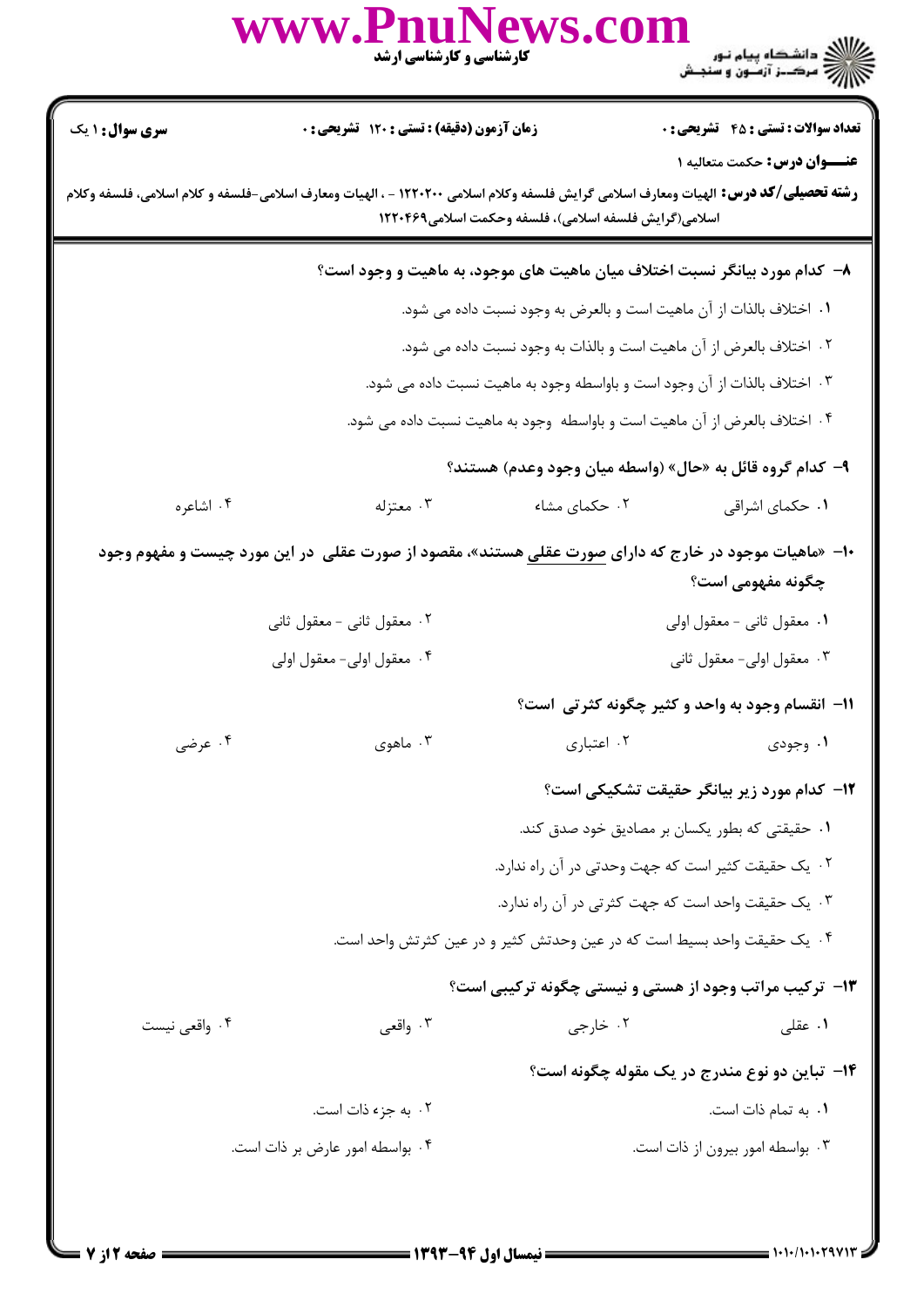|                                                                           | www.PnuNews.co<br>کارشناسی و کارشناسی ارشد                          |                                                       | الای دانشگاه پیام نور<br>الاز مرکــز آزمـون و سنجـش                                                                                                                               |  |  |
|---------------------------------------------------------------------------|---------------------------------------------------------------------|-------------------------------------------------------|-----------------------------------------------------------------------------------------------------------------------------------------------------------------------------------|--|--|
| <b>سری سوال : ۱ یک</b>                                                    | زمان آزمون (دقیقه) : تستی : ۱۲۰ تشریحی : ۰                          |                                                       | <b>تعداد سوالات : تستی : 45 - تشریحی : 0</b>                                                                                                                                      |  |  |
|                                                                           |                                                                     | اسلامی(گرایش فلسفه اسلامی)، فلسفه وحکمت اسلامی۱۲۲۰۴۶۹ | <b>عنـــوان درس:</b> حکمت متعالیه ۱<br><b>رشته تحصیلی/کد درس:</b> الهیات ومعارف اسلامی گرایش فلسفه وکلام اسلامی ۱۲۲۰۲۰۰ - ، الهیات ومعارف اسلامی-فلسفه و کلام اسلامی، فلسفه وکلام |  |  |
|                                                                           |                                                                     |                                                       | ۸– کدام مورد بیانگر نسبت اختلاف میان ماهیت های موجود، به ماهیت و وجود است؟                                                                                                        |  |  |
|                                                                           | ٠١ اختلاف بالذات از آن ماهيت است و بالعرض به وجود نسبت داده مي شود. |                                                       |                                                                                                                                                                                   |  |  |
|                                                                           | ٢. اختلاف بالعرض از آن ماهيت است و بالذات به وجود نسبت داده مى شود. |                                                       |                                                                                                                                                                                   |  |  |
| ۰۳ اختلاف بالذات از آن وجود است و باواسطه وجود به ماهیت نسبت داده می شود. |                                                                     |                                                       |                                                                                                                                                                                   |  |  |
|                                                                           |                                                                     |                                                       | ۰۴ اختلاف بالعرض از آن ماهیت است و باواسطه  وجود به ماهیت نسبت داده می شود.                                                                                                       |  |  |
|                                                                           |                                                                     |                                                       | ۹– کدام گروه قائل به «حال» (واسطه میان وجود وعدم) هستند؟                                                                                                                          |  |  |
| ۰۴ اشاعره                                                                 | ۰۳ معتزله                                                           | ۰۲ حکمای مشاء                                         | ٠١ حكماي اشراقي                                                                                                                                                                   |  |  |
|                                                                           |                                                                     |                                                       | ∙۱- «ماهیات موجود در خارج که دارای <u>صورت عقلی</u> هستند»، مقصود از صورت عقلی  در این مورد چیست و مفهوم وجود<br>چگونه مفهومی است؟                                                |  |  |
|                                                                           | ۰۲ معقول ثانی - معقول ثانی                                          |                                                       | ۰۱ معقول ثانی - معقول اولی                                                                                                                                                        |  |  |
|                                                                           | ۴. معقول اولى- معقول اولى                                           |                                                       | ۰۳ معقول اولی- معقول ثانی                                                                                                                                                         |  |  |
|                                                                           |                                                                     |                                                       | 11- انقسام وجود به واحد و کثیر چگونه کثرتی است؟                                                                                                                                   |  |  |
| ۰۴ عرضی                                                                   | ۰۳ ماهوی                                                            | ۰۲ اعتباری                                            | ۱. وجودی                                                                                                                                                                          |  |  |
|                                                                           |                                                                     |                                                       | <b>۱۲</b> - کدام مورد زیر بیانگر حقیقت تشکیکی است؟                                                                                                                                |  |  |
|                                                                           |                                                                     |                                                       | ۰۱ حقیقتی که بطور یکسان بر مصادیق خود صدق کند.                                                                                                                                    |  |  |
|                                                                           |                                                                     |                                                       | ٠٢ يک حقيقت کثير است که جهت وحدتي در آن راه ندارد.                                                                                                                                |  |  |
|                                                                           |                                                                     |                                                       | ۰۳ یک حقیقت واحد است که جهت کثرتی در آن راه ندارد.                                                                                                                                |  |  |
|                                                                           |                                                                     |                                                       | ۰۴ یک حقیقت واحد بسیط است که در عین وحدتش کثیر و در عین کثرتش واحد است.                                                                                                           |  |  |
|                                                                           |                                                                     |                                                       | ۱۳- ترکیب مراتب وجود از هستی و نیستی چگونه ترکیبی است؟                                                                                                                            |  |  |
| ۰۴ واقعی نیست                                                             | ۰۳ واقعی                                                            | ۰۲ خارجی                                              | ۰۱ عقلی                                                                                                                                                                           |  |  |
|                                                                           |                                                                     |                                                       | ۱۴- تباین دو نوع مندرج در یک مقوله چگونه است؟                                                                                                                                     |  |  |
|                                                                           | ۰۲ به جزء ذات است.                                                  |                                                       | ٠١. به تمام ذات است.                                                                                                                                                              |  |  |
|                                                                           | ۰۴ بواسطه امور عارض بر ذات است.                                     |                                                       | ۰۳ بواسطه امور بیرون از ذات است.                                                                                                                                                  |  |  |
|                                                                           |                                                                     |                                                       |                                                                                                                                                                                   |  |  |
|                                                                           |                                                                     |                                                       |                                                                                                                                                                                   |  |  |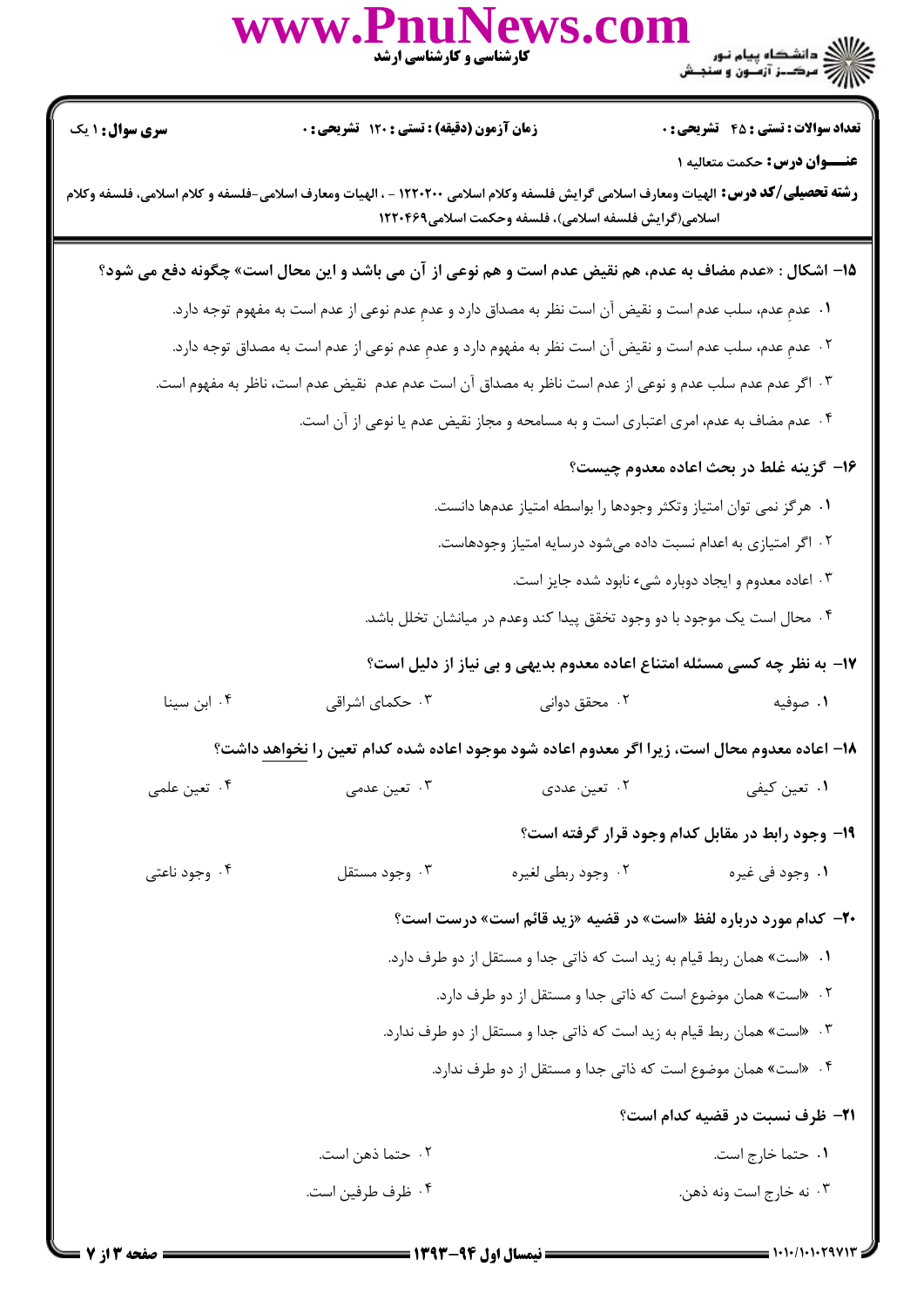

٠١. حتما خارج است. ۰۲ حتما ذهن است. ۰۴ ظرف طرفین است. ۰۳ نه خارج است ونه ذهن.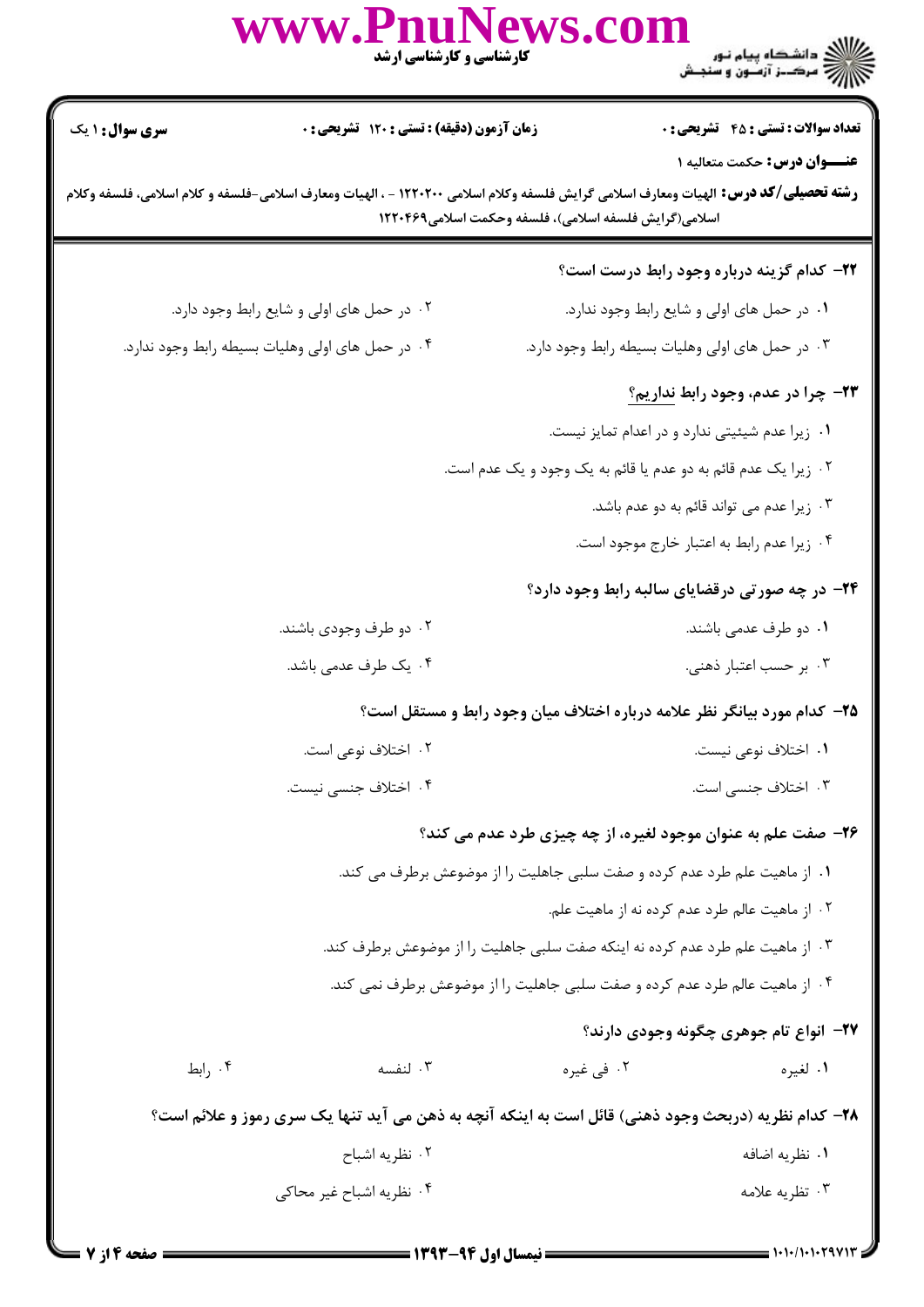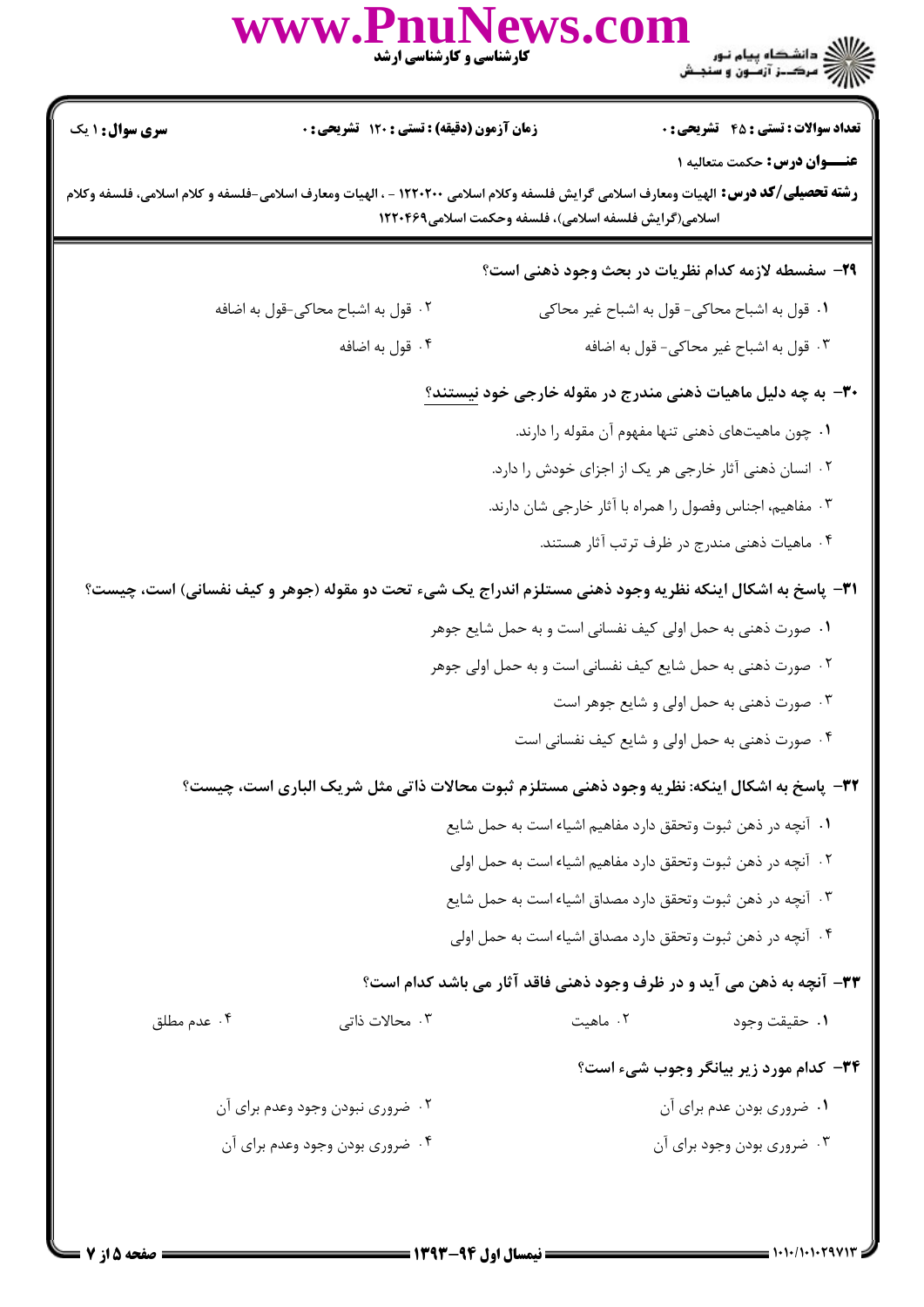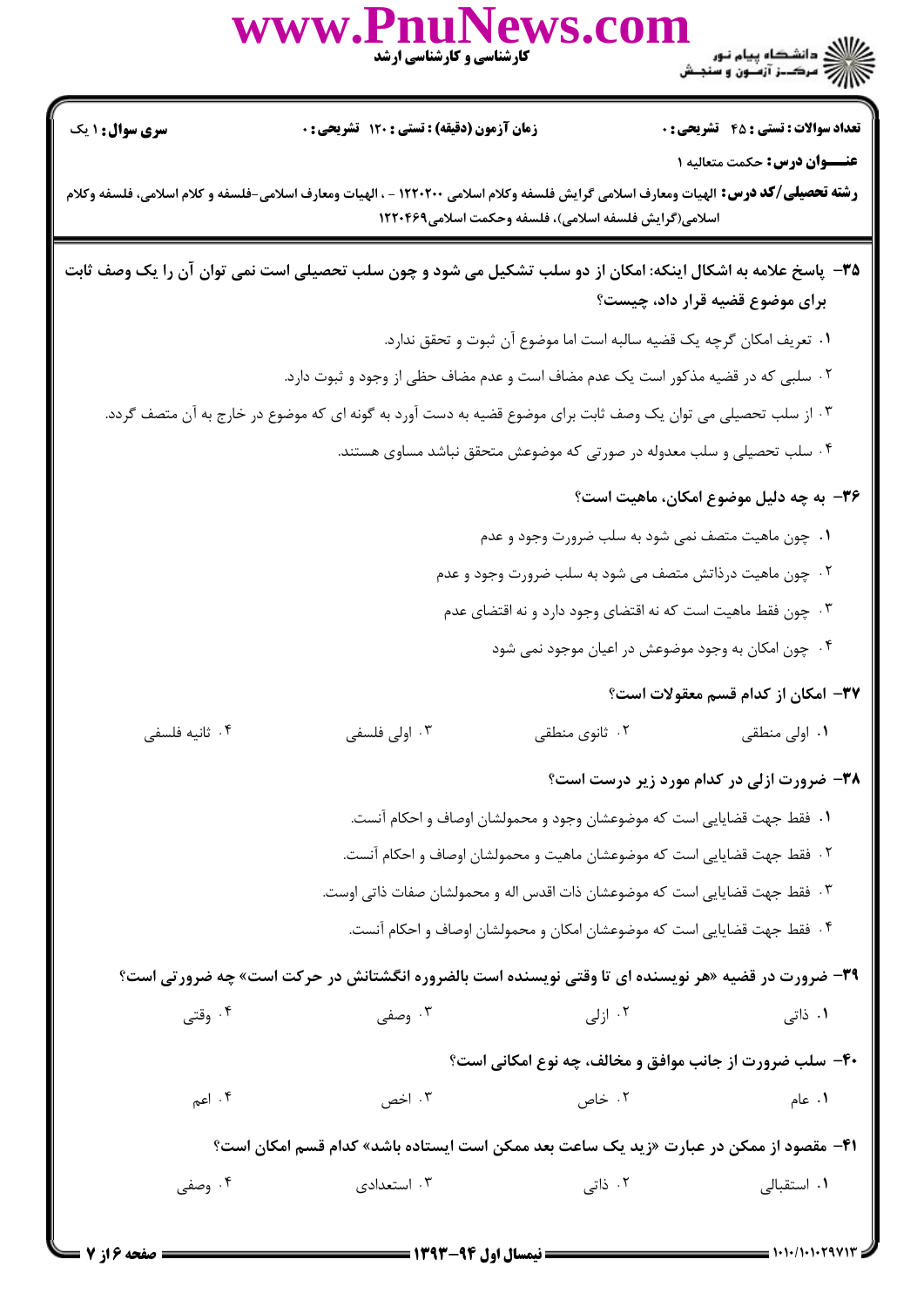